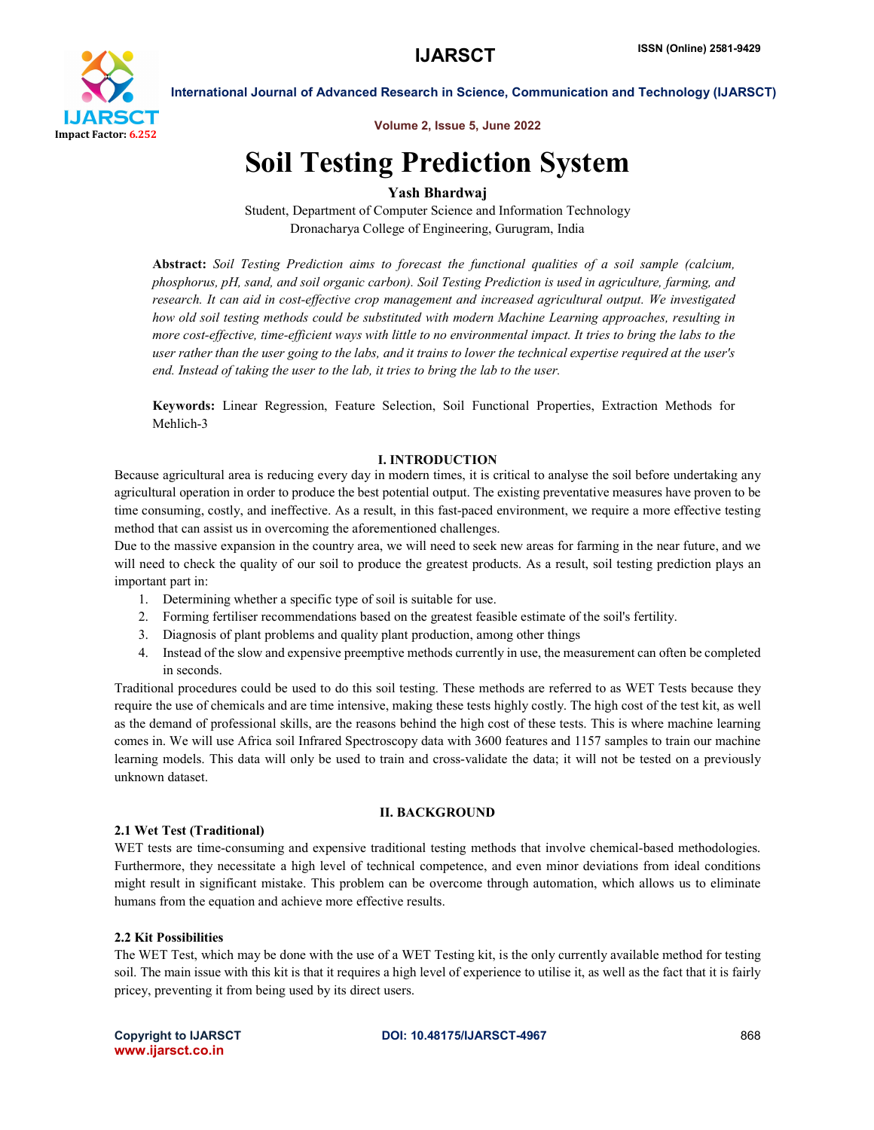

International Journal of Advanced Research in Science, Communication and Technology (IJARSCT)

Volume 2, Issue 5, June 2022

## Soil Testing Prediction System

## Yash Bhardwaj

Student, Department of Computer Science and Information Technology Dronacharya College of Engineering, Gurugram, India

Abstract: *Soil Testing Prediction aims to forecast the functional qualities of a soil sample (calcium, phosphorus, pH, sand, and soil organic carbon). Soil Testing Prediction is used in agriculture, farming, and research. It can aid in cost-effective crop management and increased agricultural output. We investigated how old soil testing methods could be substituted with modern Machine Learning approaches, resulting in more cost-effective, time-efficient ways with little to no environmental impact. It tries to bring the labs to the user rather than the user going to the labs, and it trains to lower the technical expertise required at the user's end. Instead of taking the user to the lab, it tries to bring the lab to the user.*

Keywords: Linear Regression, Feature Selection, Soil Functional Properties, Extraction Methods for Mehlich-3

#### I. INTRODUCTION

Because agricultural area is reducing every day in modern times, it is critical to analyse the soil before undertaking any agricultural operation in order to produce the best potential output. The existing preventative measures have proven to be time consuming, costly, and ineffective. As a result, in this fast-paced environment, we require a more effective testing method that can assist us in overcoming the aforementioned challenges.

Due to the massive expansion in the country area, we will need to seek new areas for farming in the near future, and we will need to check the quality of our soil to produce the greatest products. As a result, soil testing prediction plays an important part in:

- 1. Determining whether a specific type of soil is suitable for use.
- 2. Forming fertiliser recommendations based on the greatest feasible estimate of the soil's fertility.
- 3. Diagnosis of plant problems and quality plant production, among other things
- 4. Instead of the slow and expensive preemptive methods currently in use, the measurement can often be completed in seconds.

Traditional procedures could be used to do this soil testing. These methods are referred to as WET Tests because they require the use of chemicals and are time intensive, making these tests highly costly. The high cost of the test kit, as well as the demand of professional skills, are the reasons behind the high cost of these tests. This is where machine learning comes in. We will use Africa soil Infrared Spectroscopy data with 3600 features and 1157 samples to train our machine learning models. This data will only be used to train and cross-validate the data; it will not be tested on a previously unknown dataset.

#### II. BACKGROUND

#### 2.1 Wet Test (Traditional)

WET tests are time-consuming and expensive traditional testing methods that involve chemical-based methodologies. Furthermore, they necessitate a high level of technical competence, and even minor deviations from ideal conditions might result in significant mistake. This problem can be overcome through automation, which allows us to eliminate humans from the equation and achieve more effective results.

### 2.2 Kit Possibilities

The WET Test, which may be done with the use of a WET Testing kit, is the only currently available method for testing soil. The main issue with this kit is that it requires a high level of experience to utilise it, as well as the fact that it is fairly pricey, preventing it from being used by its direct users.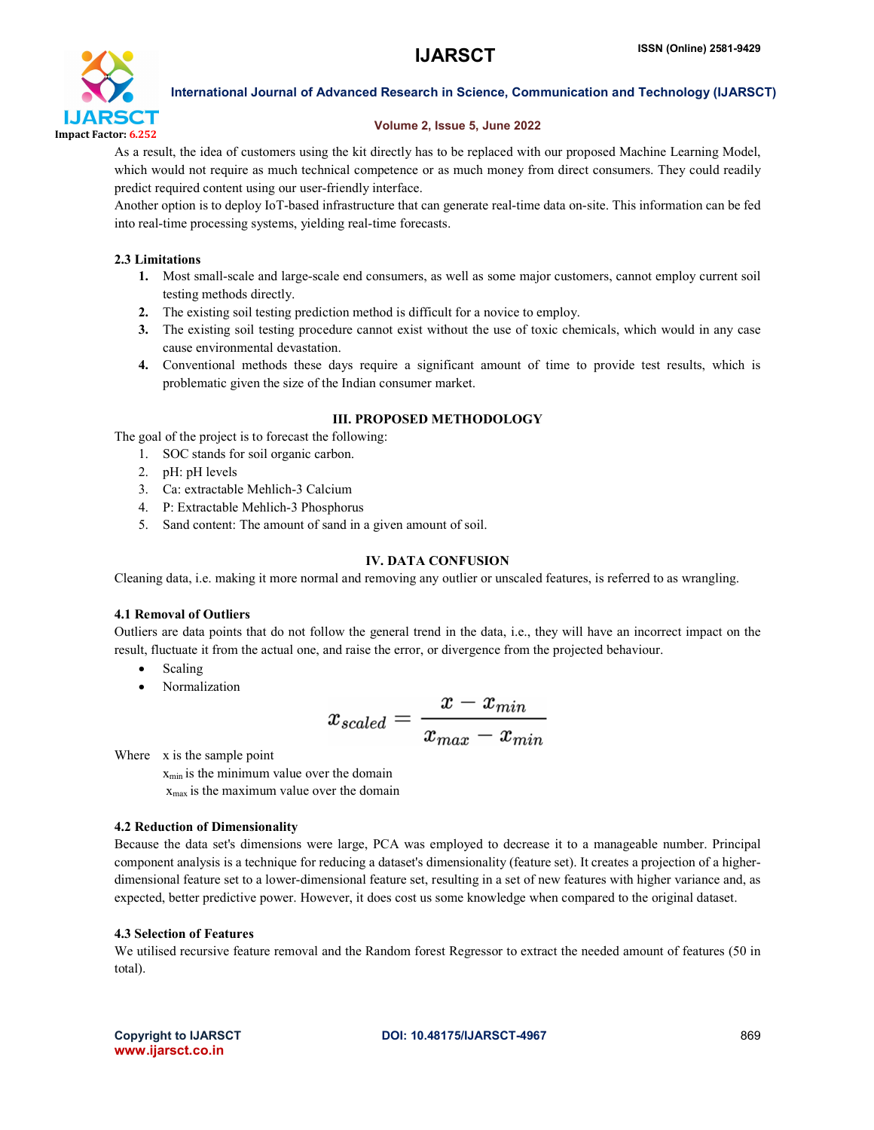

International Journal of Advanced Research in Science, Communication and Technology (IJARSCT)

#### Volume 2, Issue 5, June 2022

As a result, the idea of customers using the kit directly has to be replaced with our proposed Machine Learning Model, which would not require as much technical competence or as much money from direct consumers. They could readily predict required content using our user-friendly interface.

Another option is to deploy IoT-based infrastructure that can generate real-time data on-site. This information can be fed into real-time processing systems, yielding real-time forecasts.

#### 2.3 Limitations

- 1. Most small-scale and large-scale end consumers, as well as some major customers, cannot employ current soil testing methods directly.
- 2. The existing soil testing prediction method is difficult for a novice to employ.
- 3. The existing soil testing procedure cannot exist without the use of toxic chemicals, which would in any case cause environmental devastation.
- 4. Conventional methods these days require a significant amount of time to provide test results, which is problematic given the size of the Indian consumer market.

### III. PROPOSED METHODOLOGY

The goal of the project is to forecast the following:

- 1. SOC stands for soil organic carbon.
- 2. pH: pH levels
- 3. Ca: extractable Mehlich-3 Calcium
- 4. P: Extractable Mehlich-3 Phosphorus
- 5. Sand content: The amount of sand in a given amount of soil.

#### IV. DATA CONFUSION

Cleaning data, i.e. making it more normal and removing any outlier or unscaled features, is referred to as wrangling.

### 4.1 Removal of Outliers

Outliers are data points that do not follow the general trend in the data, i.e., they will have an incorrect impact on the result, fluctuate it from the actual one, and raise the error, or divergence from the projected behaviour.

- Scaling
- Normalization

$$
x_{scaled} = \frac{x-x_{min}}{x_{max}-x_{min}}
$$

Where x is the sample point

 $x_{min}$  is the minimum value over the domain xmax is the maximum value over the domain

#### 4.2 Reduction of Dimensionality

Because the data set's dimensions were large, PCA was employed to decrease it to a manageable number. Principal component analysis is a technique for reducing a dataset's dimensionality (feature set). It creates a projection of a higherdimensional feature set to a lower-dimensional feature set, resulting in a set of new features with higher variance and, as expected, better predictive power. However, it does cost us some knowledge when compared to the original dataset.

#### 4.3 Selection of Features

We utilised recursive feature removal and the Random forest Regressor to extract the needed amount of features (50 in total).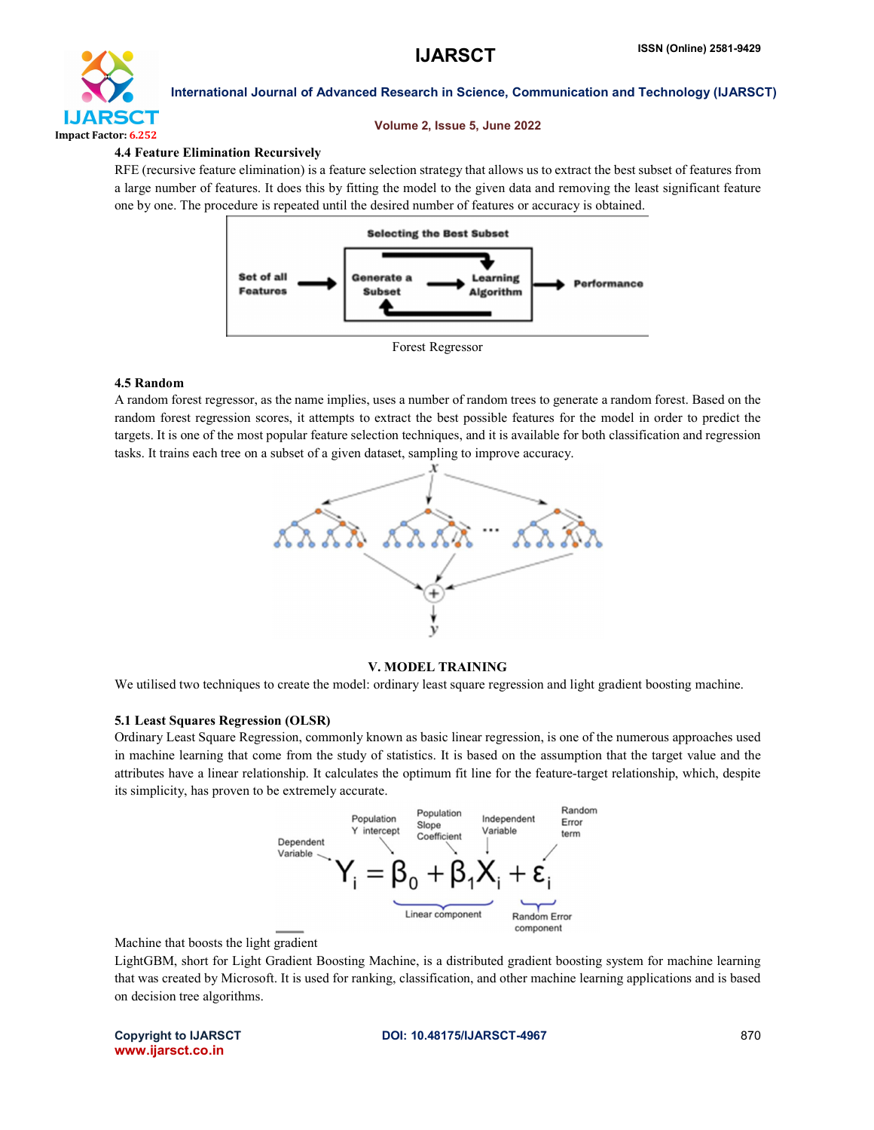

#### International Journal of Advanced Research in Science, Communication and Technology (IJARSCT)

#### Volume 2, Issue 5, June 2022

#### 4.4 Feature Elimination Recursively

RFE (recursive feature elimination) is a feature selection strategy that allows us to extract the best subset of features from a large number of features. It does this by fitting the model to the given data and removing the least significant feature one by one. The procedure is repeated until the desired number of features or accuracy is obtained.





#### 4.5 Random

A random forest regressor, as the name implies, uses a number of random trees to generate a random forest. Based on the random forest regression scores, it attempts to extract the best possible features for the model in order to predict the targets. It is one of the most popular feature selection techniques, and it is available for both classification and regression tasks. It trains each tree on a subset of a given dataset, sampling to improve accuracy.



### V. MODEL TRAINING

We utilised two techniques to create the model: ordinary least square regression and light gradient boosting machine.

#### 5.1 Least Squares Regression (OLSR)

Ordinary Least Square Regression, commonly known as basic linear regression, is one of the numerous approaches used in machine learning that come from the study of statistics. It is based on the assumption that the target value and the attributes have a linear relationship. It calculates the optimum fit line for the feature-target relationship, which, despite its simplicity, has proven to be extremely accurate.



Machine that boosts the light gradient

LightGBM, short for Light Gradient Boosting Machine, is a distributed gradient boosting system for machine learning that was created by Microsoft. It is used for ranking, classification, and other machine learning applications and is based on decision tree algorithms.

www.ijarsct.co.in